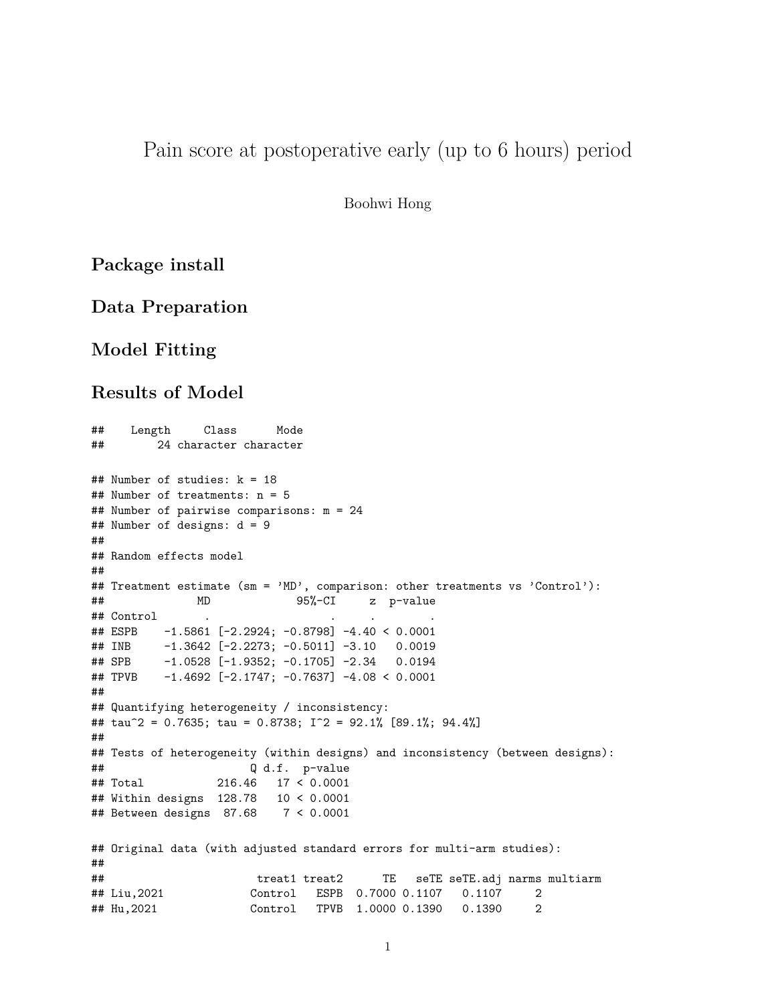# Pain score at postoperative early (up to 6 hours) period

Boohwi Hong

## **Package install**

## **Data Preparation**

# **Model Fitting**

#### **Results of Model**

```
## Length Class Mode
## 24 character character
## Number of studies: k = 18
## Number of treatments: n = 5
## Number of pairwise comparisons: m = 24
## Number of designs: d = 9
##
## Random effects model
##
## Treatment estimate (sm = 'MD', comparison: other treatments vs 'Control'):
## MD 95%-CI z p-value
## Control . . . .
## ESPB -1.5861 [-2.2924; -0.8798] -4.40 < 0.0001
## INB -1.3642 [-2.2273; -0.5011] -3.10 0.0019
## SPB -1.0528 [-1.9352; -0.1705] -2.34 0.0194
## TPVB -1.4692 [-2.1747; -0.7637] -4.08 < 0.0001
##
## Quantifying heterogeneity / inconsistency:
## tau^2 = 0.7635; tau = 0.8738; I^2 = 92.1% [89.1%; 94.4%]
##
## Tests of heterogeneity (within designs) and inconsistency (between designs):
## Q d.f. p-value
## Total 216.46 17 < 0.0001
## Within designs 128.78 10 < 0.0001
## Between designs 87.68 7 < 0.0001
## Original data (with adjusted standard errors for multi-arm studies):
##
## treat1 treat2 TE seTE seTE.adj narms multiarm
## Liu,2021 Control ESPB 0.7000 0.1107 0.1107 2
## Hu,2021 Control TPVB 1.0000 0.1390 0.1390 2
```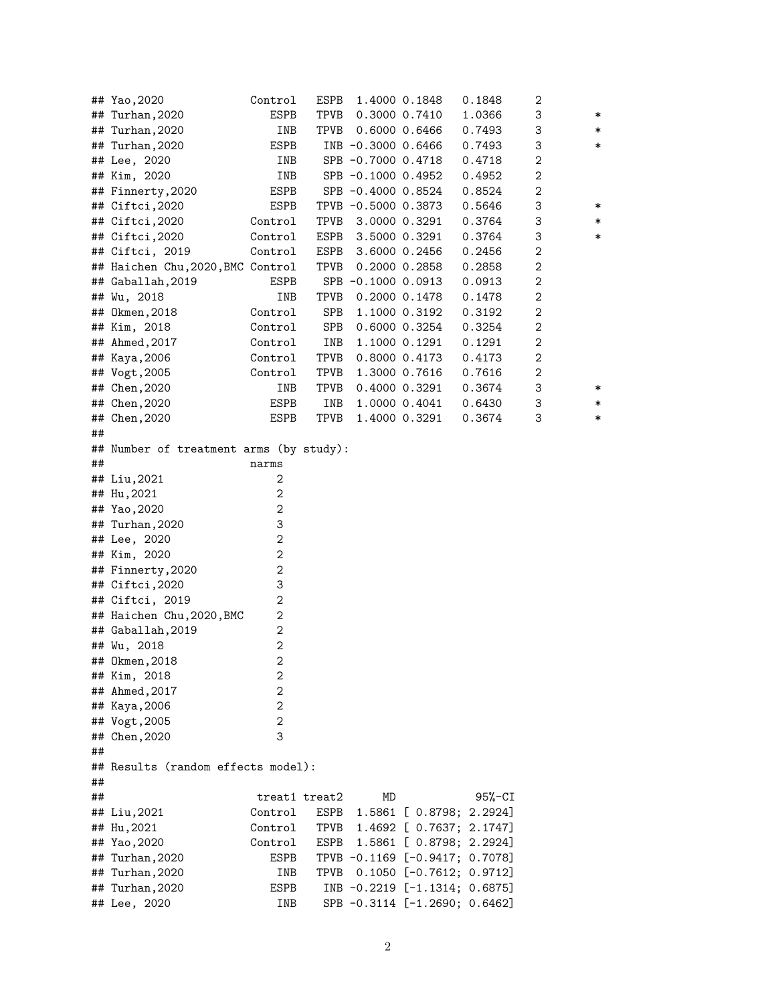|    | ## Yao, 2020                            | Control            | ESPB          |                     | 1.4000 0.1848     | 0.1848                         | 2                |        |
|----|-----------------------------------------|--------------------|---------------|---------------------|-------------------|--------------------------------|------------------|--------|
|    | ## Turhan, 2020                         | ESPB               | TPVB          |                     | 0.3000 0.7410     | 1.0366                         | 3                | ∗      |
|    | ## Turhan, 2020                         | INB                | TPVB          |                     | $0.6000$ $0.6466$ | 0.7493                         | 3                | $\ast$ |
|    | ## Turhan, 2020                         | ESPB               |               | INB -0.3000 0.6466  |                   | 0.7493                         | 3                | $\ast$ |
|    | ## Lee, 2020                            | INB                |               | SPB -0.7000 0.4718  |                   | 0.4718                         | $\boldsymbol{2}$ |        |
|    | ## Kim, 2020                            | INB                |               | SPB -0.1000 0.4952  |                   | 0.4952                         | $\boldsymbol{2}$ |        |
|    | ## Finnerty, 2020                       | ESPB               |               | SPB -0.4000 0.8524  |                   | 0.8524                         | $\boldsymbol{2}$ |        |
|    | ## Ciftci, 2020                         | ESPB               |               | TPVB -0.5000 0.3873 |                   | 0.5646                         | 3                | ∗      |
|    | ## Ciftci, 2020                         | Control            | TPVB          |                     | 3.0000 0.3291     | 0.3764                         | 3                | ∗      |
|    | ## Ciftci, 2020                         | $\mathtt{Control}$ | ESPB          |                     | 3.5000 0.3291     | 0.3764                         | 3                | $\ast$ |
|    | ## Ciftci, 2019                         | Control            | ESPB          |                     | 3.6000 0.2456     | 0.2456                         | $\boldsymbol{2}$ |        |
|    | ## Haichen Chu, 2020, BMC Control       |                    | TPVB          |                     | 0.2000 0.2858     | 0.2858                         | $\boldsymbol{2}$ |        |
|    | ## Gaballah, 2019                       | ESPB               |               | SPB -0.1000 0.0913  |                   | 0.0913                         | $\boldsymbol{2}$ |        |
|    | ## Wu, 2018                             | INB                | TPVB          |                     | 0.2000 0.1478     | 0.1478                         | $\boldsymbol{2}$ |        |
|    | ## 0kmen, 2018                          | Control            | SPB           |                     | 1.1000 0.3192     | 0.3192                         | $\boldsymbol{2}$ |        |
|    | ## Kim, 2018                            | Control            | SPB           |                     | 0.6000 0.3254     | 0.3254                         | $\boldsymbol{2}$ |        |
|    | ## Ahmed, 2017                          | Control            | INB           |                     | 1.1000 0.1291     | 0.1291                         | $\boldsymbol{2}$ |        |
|    | ## Kaya, 2006                           | Control            | TPVB          |                     | 0.8000 0.4173     | 0.4173                         | $\boldsymbol{2}$ |        |
|    | ## Vogt, 2005                           | Control            | TPVB          |                     | 1.3000 0.7616     | 0.7616                         | $\boldsymbol{2}$ |        |
|    | ## Chen, 2020                           | INB                | TPVB          |                     | $0.4000$ $0.3291$ | 0.3674                         | 3                | ∗      |
|    | ## Chen, 2020                           | ESPB               | INB           |                     | 1.0000 0.4041     | 0.6430                         | 3                | $\ast$ |
|    | ## Chen, 2020                           | ESPB               | TPVB          |                     | 1.4000 0.3291     | 0.3674                         | 3                | $\ast$ |
| ## |                                         |                    |               |                     |                   |                                |                  |        |
|    | ## Number of treatment arms (by study): |                    |               |                     |                   |                                |                  |        |
| ## |                                         | narms              |               |                     |                   |                                |                  |        |
|    | ## Liu, 2021                            | 2                  |               |                     |                   |                                |                  |        |
|    | ## Hu, 2021                             | $\mathbf 2$        |               |                     |                   |                                |                  |        |
|    | ## Yao, 2020                            | $\mathbf 2$        |               |                     |                   |                                |                  |        |
|    | ## Turhan, 2020                         | 3                  |               |                     |                   |                                |                  |        |
|    | ## Lee, 2020                            | $\boldsymbol{2}$   |               |                     |                   |                                |                  |        |
|    | ## Kim, 2020                            | $\boldsymbol{2}$   |               |                     |                   |                                |                  |        |
|    | ## Finnerty, 2020                       | $\boldsymbol{2}$   |               |                     |                   |                                |                  |        |
|    | ## Ciftci, 2020                         | 3                  |               |                     |                   |                                |                  |        |
|    | ## Ciftci, 2019                         | $\mathbf 2$        |               |                     |                   |                                |                  |        |
|    | ## Haichen Chu, 2020, BMC               | $\boldsymbol{2}$   |               |                     |                   |                                |                  |        |
|    | ## Gaballah, 2019                       | $\boldsymbol{2}$   |               |                     |                   |                                |                  |        |
|    | ## Wu, 2018                             | $\boldsymbol{2}$   |               |                     |                   |                                |                  |        |
|    | ## 0kmen, 2018                          | $\overline{c}$     |               |                     |                   |                                |                  |        |
|    | ## Kim, 2018                            | 2                  |               |                     |                   |                                |                  |        |
|    | ## Ahmed, 2017                          | $\mathbf{2}$       |               |                     |                   |                                |                  |        |
|    | ## Kaya, 2006                           | 2                  |               |                     |                   |                                |                  |        |
|    | ## Vogt, 2005                           | 2                  |               |                     |                   |                                |                  |        |
|    | ## Chen, 2020                           | 3                  |               |                     |                   |                                |                  |        |
| ## |                                         |                    |               |                     |                   |                                |                  |        |
|    | ## Results (random effects model):      |                    |               |                     |                   |                                |                  |        |
| ## |                                         |                    |               |                     |                   |                                |                  |        |
| ## |                                         |                    | treat1 treat2 | MD                  |                   | $95%$ -CI                      |                  |        |
|    | ## Liu, 2021                            | Control            | ESPB          |                     |                   | 1.5861 [ 0.8798; 2.2924]       |                  |        |
|    | ## Hu, 2021                             | Control            | TPVB          |                     |                   | 1.4692 [ 0.7637; 2.1747]       |                  |        |
|    | ## Yao, 2020                            | Control            | ESPB          |                     |                   | 1.5861 [ 0.8798; 2.2924]       |                  |        |
|    | ## Turhan, 2020                         | ESPB               |               |                     |                   | TPVB -0.1169 [-0.9417; 0.7078] |                  |        |
|    | ## Turhan, 2020                         | INB                | TPVB          |                     |                   | $0.1050$ [-0.7612; 0.9712]     |                  |        |
|    | ## Turhan, 2020                         | ESPB               |               |                     |                   | INB -0.2219 [-1.1314; 0.6875]  |                  |        |
|    | ## Lee, 2020                            | INB                |               |                     |                   | SPB -0.3114 [-1.2690; 0.6462]  |                  |        |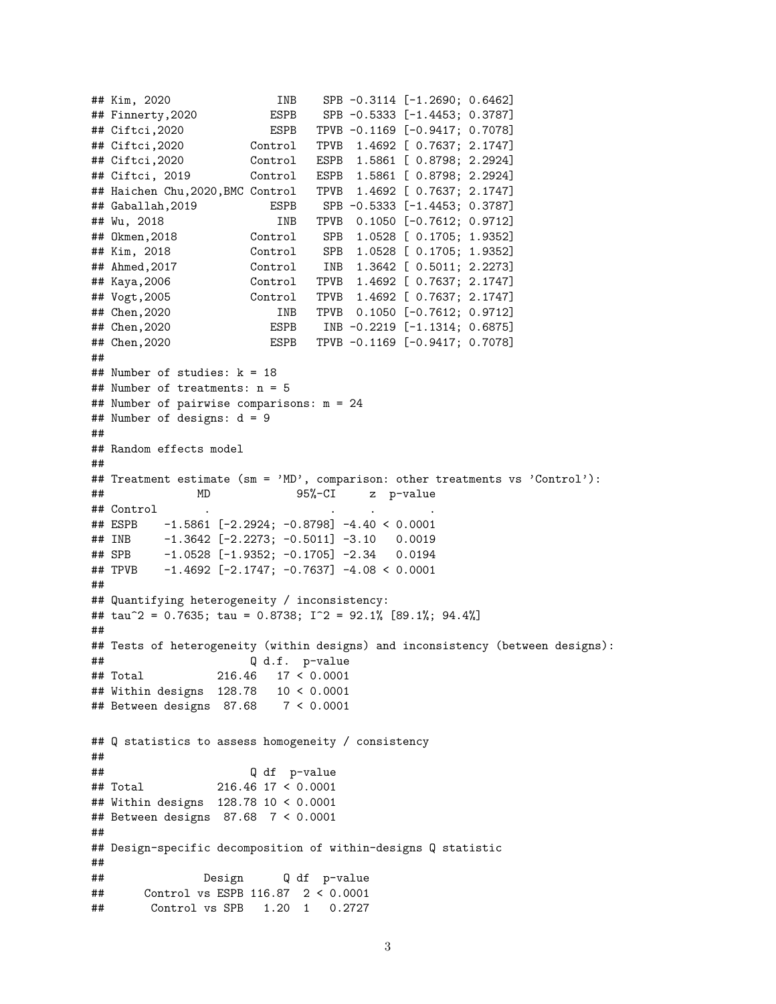```
## Kim, 2020 INB SPB -0.3114 [-1.2690; 0.6462]
## Finnerty,2020 ESPB SPB -0.5333 [-1.4453; 0.3787]
## Ciftci,2020 ESPB TPVB -0.1169 [-0.9417; 0.7078]
## Ciftci,2020 Control TPVB 1.4692 [ 0.7637; 2.1747]
## Ciftci,2020 Control ESPB 1.5861 [ 0.8798; 2.2924]
## Ciftci, 2019 Control ESPB 1.5861 [ 0.8798; 2.2924]
## Haichen Chu,2020,BMC Control TPVB 1.4692 [ 0.7637; 2.1747]
## Gaballah,2019 ESPB SPB -0.5333 [-1.4453; 0.3787]
## Wu, 2018 INB TPVB 0.1050 [-0.7612; 0.9712]
## Okmen,2018 Control SPB 1.0528 [ 0.1705; 1.9352]
## Kim, 2018 Control SPB 1.0528 [ 0.1705; 1.9352]
## Ahmed,2017 Control INB 1.3642 [ 0.5011; 2.2273]
## Kaya,2006 Control TPVB 1.4692 [ 0.7637; 2.1747]
## Vogt,2005 Control TPVB 1.4692 [ 0.7637; 2.1747]
## Chen,2020 INB TPVB 0.1050 [-0.7612; 0.9712]
## Chen,2020 ESPB INB -0.2219 [-1.1314; 0.6875]
## Chen,2020 ESPB TPVB -0.1169 [-0.9417; 0.7078]
##
## Number of studies: k = 18
## Number of treatments: n = 5
## Number of pairwise comparisons: m = 24
## Number of designs: d = 9
##
## Random effects model
##
## Treatment estimate (sm = 'MD', comparison: other treatments vs 'Control'):
## MD 95%-CI z p-value
## Control . . . .
## ESPB -1.5861 [-2.2924; -0.8798] -4.40 < 0.0001
## INB -1.3642 [-2.2273; -0.5011] -3.10 0.0019
## SPB -1.0528 [-1.9352; -0.1705] -2.34 0.0194
## TPVB -1.4692 [-2.1747; -0.7637] -4.08 < 0.0001
##
## Quantifying heterogeneity / inconsistency:
## tau^2 = 0.7635; tau = 0.8738; I^2 = 92.1% [89.1%; 94.4%]
##
## Tests of heterogeneity (within designs) and inconsistency (between designs):
## Q d.f. p-value
## Total 216.46 17 < 0.0001
## Within designs 128.78 10 < 0.0001
## Between designs 87.68 7 < 0.0001
## Q statistics to assess homogeneity / consistency
##
## Q df p-value
## Total 216.46 17 < 0.0001
## Within designs 128.78 10 < 0.0001
## Between designs 87.68 7 < 0.0001
##
## Design-specific decomposition of within-designs Q statistic
##
## Design Q df p-value
## Control vs ESPB 116.87 2 < 0.0001
## Control vs SPB 1.20 1 0.2727
```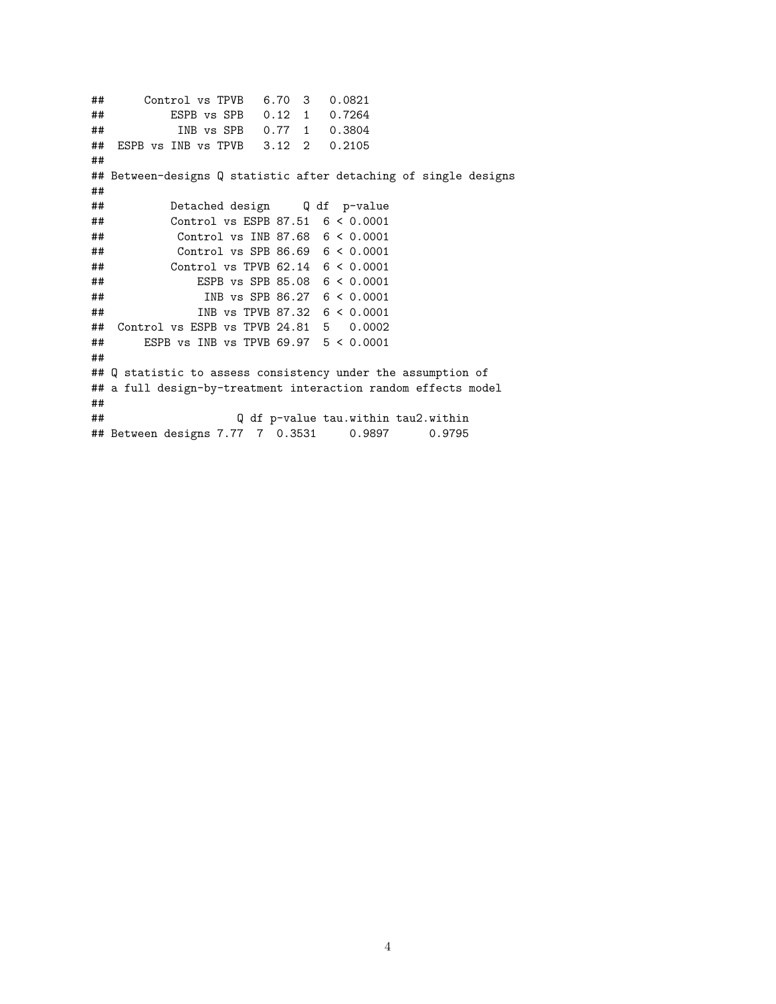## Control vs TPVB 6.70 3 0.0821 ## ESPB vs SPB 0.12 1 0.7264 ## INB vs SPB 0.77 1 0.3804 ## ESPB vs INB vs TPVB 3.12 2 0.2105 ## ## Between-designs Q statistic after detaching of single designs ## ## Detached design Q df p-value ## Control vs ESPB 87.51 6 < 0.0001 ## Control vs INB 87.68 6 < 0.0001 ## Control vs SPB 86.69 6 < 0.0001 ## Control vs TPVB 62.14 6 < 0.0001 ## ESPB vs SPB 85.08 6 < 0.0001 ## INB vs SPB 86.27 6 < 0.0001 ## INB vs TPVB 87.32 6 < 0.0001 ## Control vs ESPB vs TPVB 24.81 5 0.0002 ## ESPB vs INB vs TPVB 69.97 5 < 0.0001 ## ## Q statistic to assess consistency under the assumption of ## a full design-by-treatment interaction random effects model ## ## Q df p-value tau.within tau2.within ## Between designs 7.77 7 0.3531 0.9897 0.9795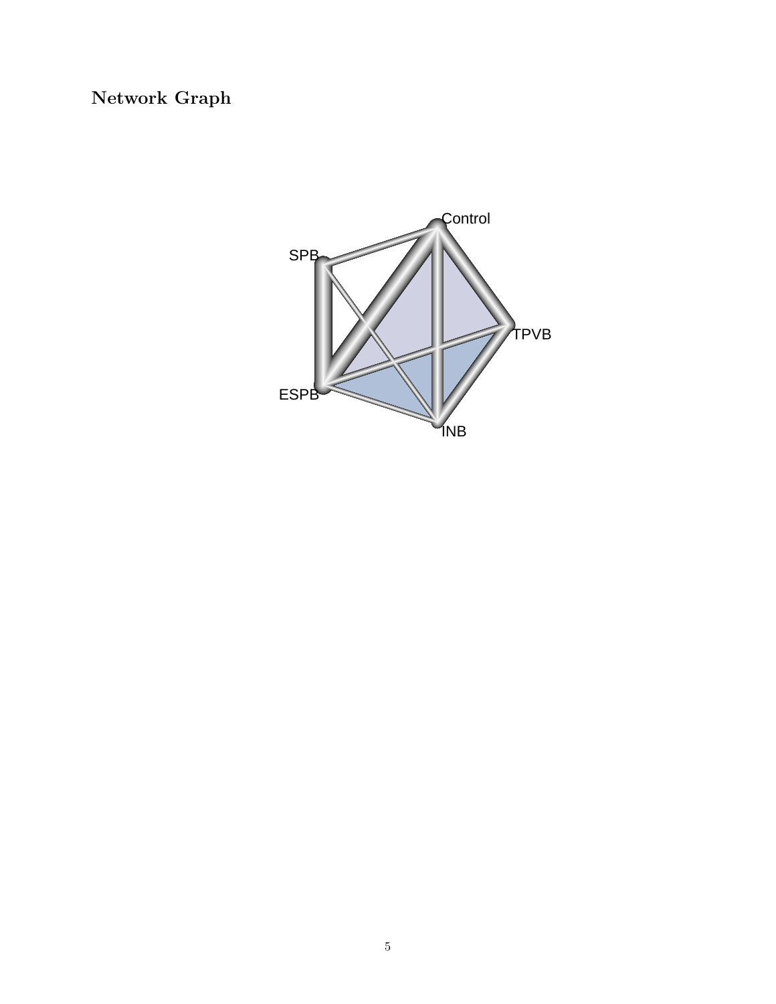# **Network Graph**

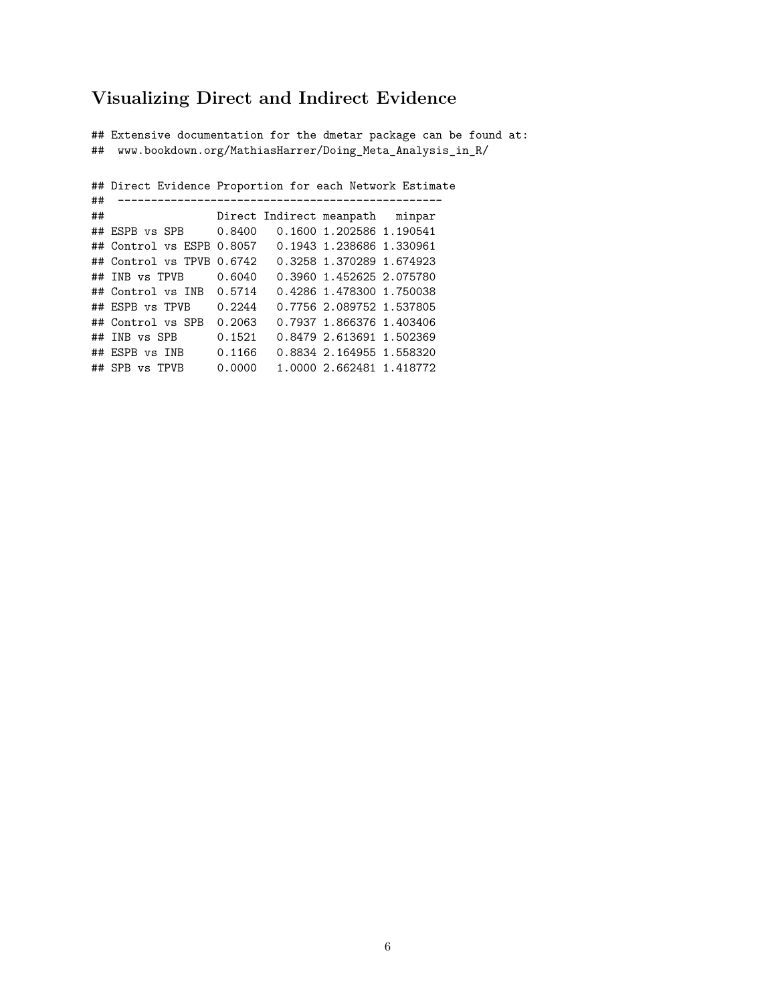# **Visualizing Direct and Indirect Evidence**

## Extensive documentation for the dmetar package can be found at: ## www.bookdown.org/MathiasHarrer/Doing\_Meta\_Analysis\_in\_R/

## Direct Evidence Proportion for each Network Estimate ## ------------------------------------------------- Direct Indirect meanpath minpar ## ESPB vs SPB 0.8400 0.1600 1.202586 1.190541 ## Control vs ESPB 0.8057 0.1943 1.238686 1.330961 ## Control vs TPVB 0.6742 0.3258 1.370289 1.674923 ## INB vs TPVB 0.6040 0.3960 1.452625 2.075780 ## Control vs INB 0.5714 0.4286 1.478300 1.750038 ## ESPB vs TPVB 0.2244 0.7756 2.089752 1.537805 ## Control vs SPB 0.2063 0.7937 1.866376 1.403406 ## INB vs SPB 0.1521 0.8479 2.613691 1.502369 ## ESPB vs INB 0.1166 0.8834 2.164955 1.558320 ## SPB vs TPVB 0.0000 1.0000 2.662481 1.418772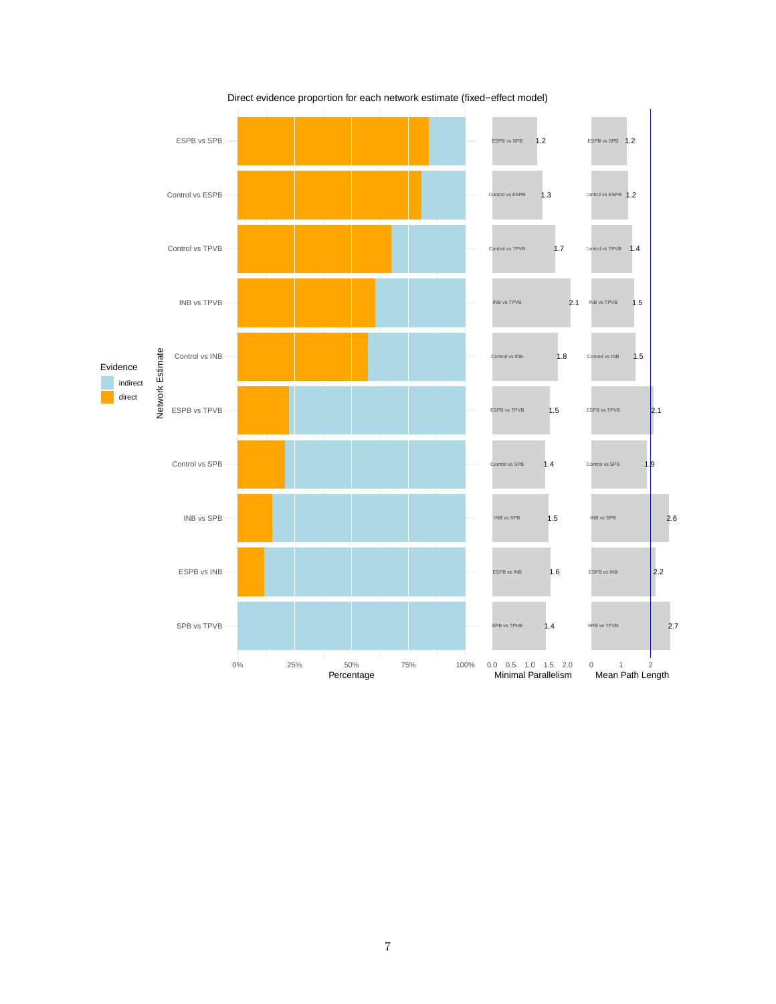

Direct evidence proportion for each network estimate (fixed−effect model)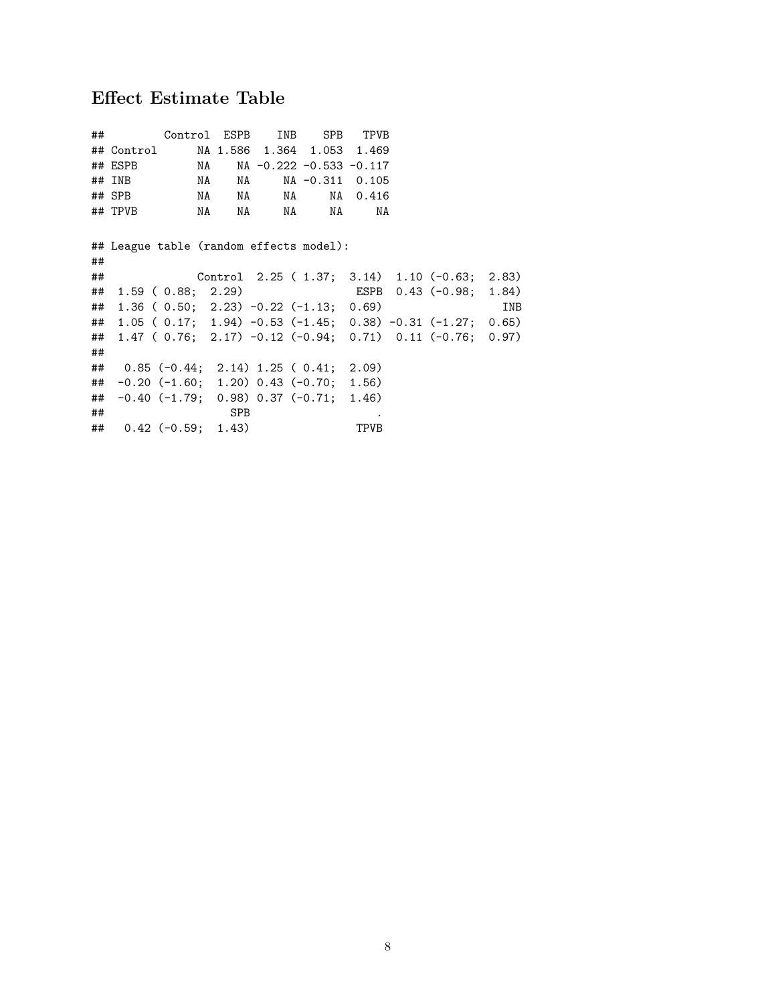# **Effect Estimate Table**

|                                      |                                  |                         |                                             |          |                                                                                                                                                                                                                                                        |                                                                                                                                             | INB                                                                                                                                                                                                           |
|--------------------------------------|----------------------------------|-------------------------|---------------------------------------------|----------|--------------------------------------------------------------------------------------------------------------------------------------------------------------------------------------------------------------------------------------------------------|---------------------------------------------------------------------------------------------------------------------------------------------|---------------------------------------------------------------------------------------------------------------------------------------------------------------------------------------------------------------|
|                                      |                                  |                         |                                             |          |                                                                                                                                                                                                                                                        |                                                                                                                                             |                                                                                                                                                                                                               |
|                                      |                                  |                         |                                             |          |                                                                                                                                                                                                                                                        |                                                                                                                                             |                                                                                                                                                                                                               |
|                                      |                                  |                         |                                             |          |                                                                                                                                                                                                                                                        |                                                                                                                                             |                                                                                                                                                                                                               |
|                                      |                                  |                         |                                             |          |                                                                                                                                                                                                                                                        |                                                                                                                                             |                                                                                                                                                                                                               |
|                                      |                                  |                         |                                             |          |                                                                                                                                                                                                                                                        |                                                                                                                                             |                                                                                                                                                                                                               |
|                                      |                                  |                         |                                             |          |                                                                                                                                                                                                                                                        |                                                                                                                                             |                                                                                                                                                                                                               |
|                                      | <b>SPB</b>                       |                         |                                             |          |                                                                                                                                                                                                                                                        |                                                                                                                                             |                                                                                                                                                                                                               |
|                                      |                                  |                         |                                             | TPVB     |                                                                                                                                                                                                                                                        |                                                                                                                                             |                                                                                                                                                                                                               |
| ## SPB<br>##<br>##<br>##<br>##<br>## | ## ESPB<br>$\#$ # INB<br>## TPVB | $1.59$ ( $0.88$ ; 2.29) | NA NA<br>NA NA<br>$\#$ # 0.42 (-0.59; 1.43) | NA NA NA | NA 1988.<br>## League table (random effects model):<br>$1.36$ ( $0.50$ ; $2.23$ ) $-0.22$ ( $-1.13$ ; $0.69$ )<br>## 0.85 (-0.44; 2.14) 1.25 (0.41; 2.09)<br>$-0.20$ (-1.60; 1.20) 0.43 (-0.70; 1.56)<br>$\#$ $-0.40$ (-1.79; 0.98) 0.37 (-0.71; 1.46) | ## Control ESPB INB SPB TPVB<br>## Control MA 1.586 1.364 1.053 1.469<br>NA NA -0.222 -0.533 -0.117<br>NA -0.311 0.105<br>NA NA 0.416<br>NA | Control 2.25 (1.37; 3.14) 1.10 (-0.63; 2.83)<br>ESPB 0.43 (-0.98; 1.84)<br>## 1.05 (0.17; 1.94) -0.53 (-1.45; 0.38) -0.31 (-1.27; 0.65)<br>1.47 (0.76; 2.17) $-0.12$ ( $-0.94$ ; 0.71) 0.11 ( $-0.76$ ; 0.97) |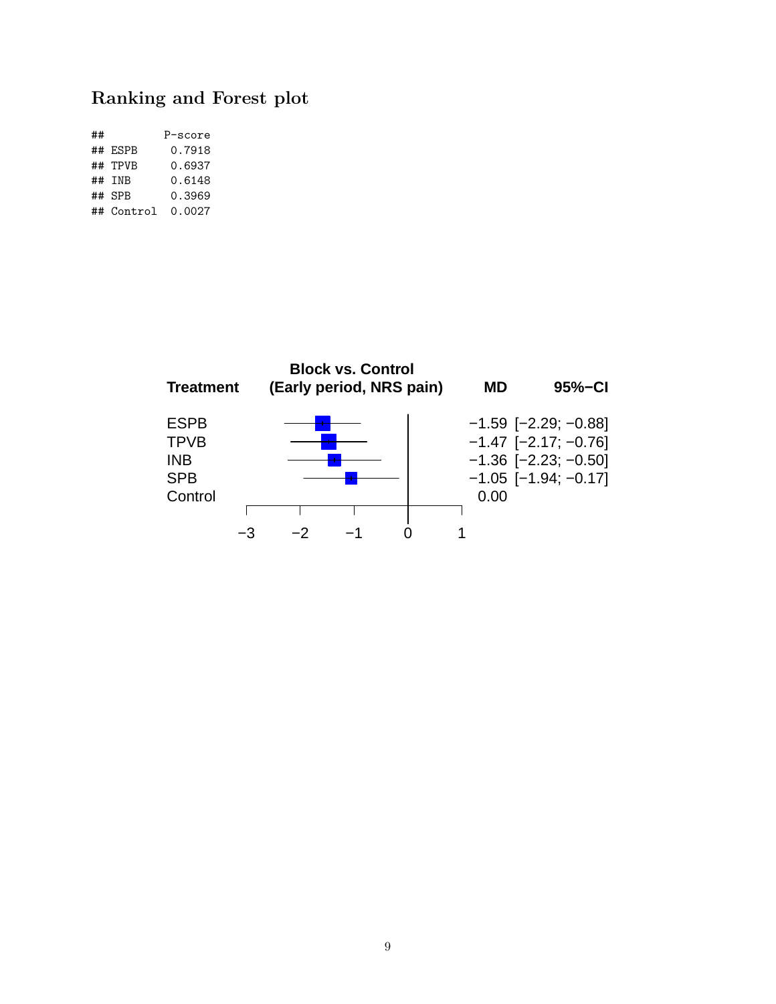# **Ranking and Forest plot**

| ## |            | P-score |
|----|------------|---------|
|    | ## ESPB    | 0.7918  |
|    | ## TPVB    | 0.6937  |
|    | ## TNB     | 0.6148  |
|    | ## SPR     | 0.3969  |
|    | ## Control | 0.0027  |

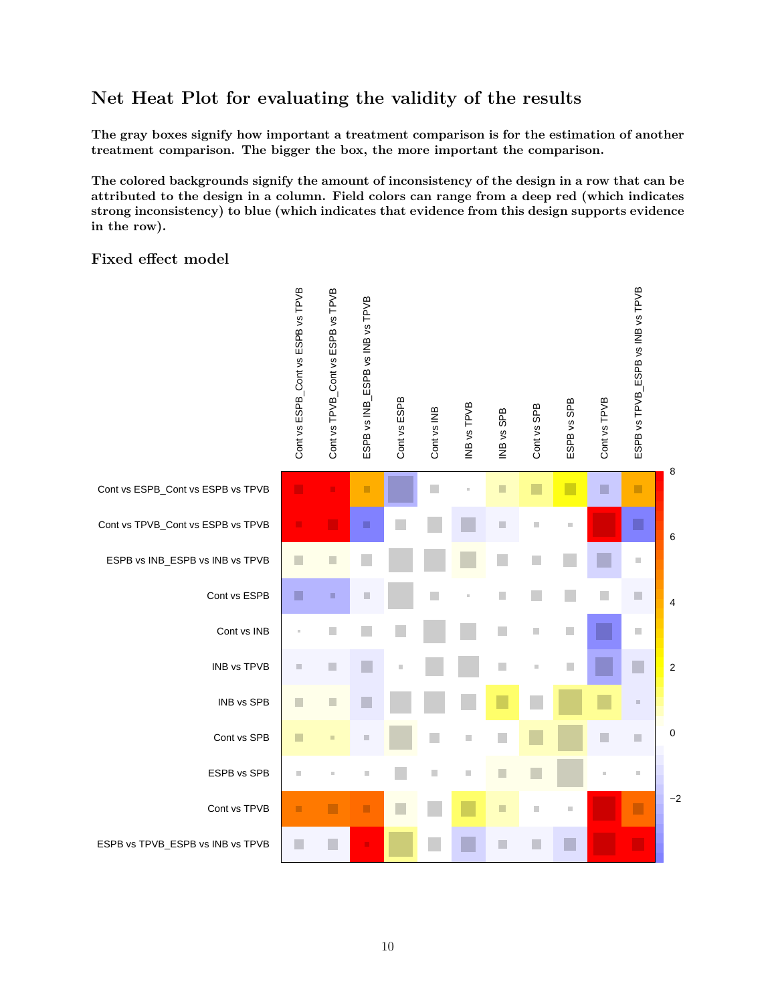# **Net Heat Plot for evaluating the validity of the results**

**The gray boxes signify how important a treatment comparison is for the estimation of another treatment comparison. The bigger the box, the more important the comparison.**

**The colored backgrounds signify the amount of inconsistency of the design in a row that can be attributed to the design in a column. Field colors can range from a deep red (which indicates strong inconsistency) to blue (which indicates that evidence from this design supports evidence in the row).**

#### **Fixed effect model**

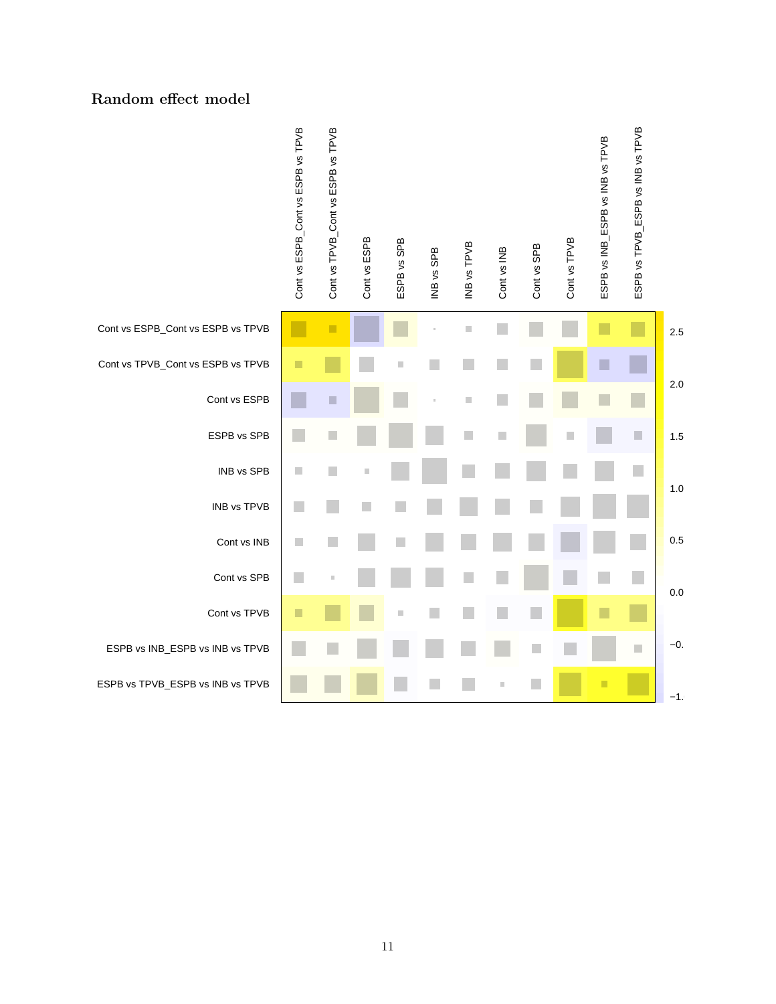#### **Random effect model**

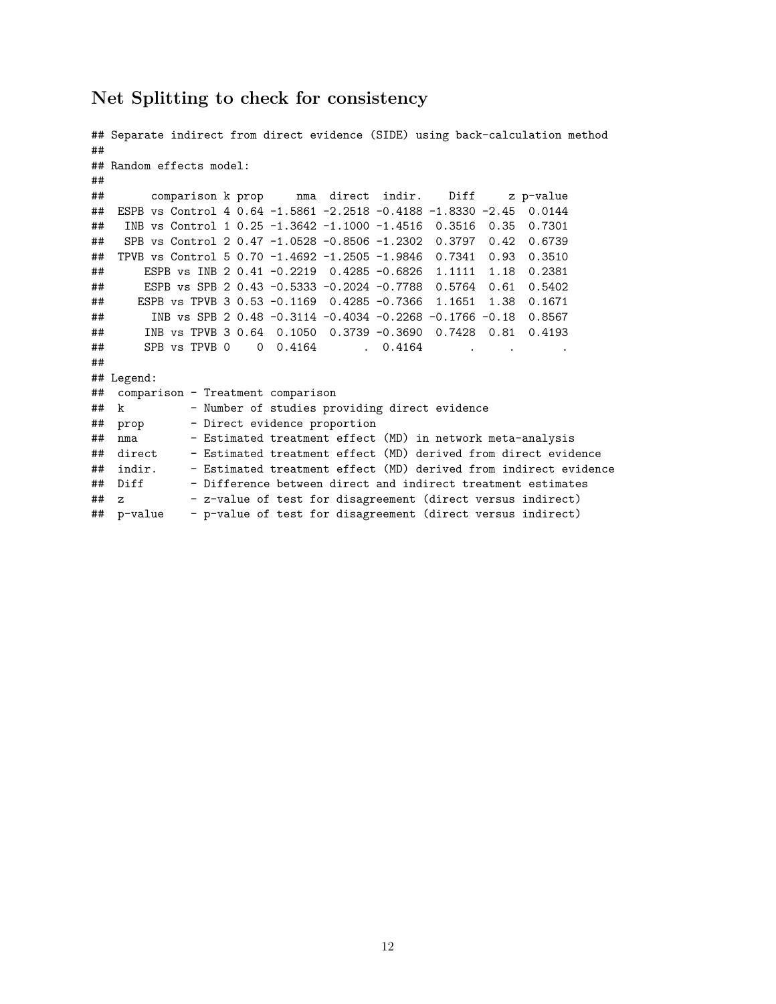#### **Net Splitting to check for consistency**

```
## Separate indirect from direct evidence (SIDE) using back-calculation method
##
## Random effects model:
##
## comparison k prop nma direct indir. Diff z p-value
## ESPB vs Control 4 0.64 -1.5861 -2.2518 -0.4188 -1.8330 -2.45 0.0144
## INB vs Control 1 0.25 -1.3642 -1.1000 -1.4516 0.3516 0.35 0.7301
## SPB vs Control 2 0.47 -1.0528 -0.8506 -1.2302 0.3797 0.42 0.6739
## TPVB vs Control 5 0.70 -1.4692 -1.2505 -1.9846 0.7341 0.93 0.3510
## ESPB vs INB 2 0.41 -0.2219 0.4285 -0.6826 1.1111 1.18 0.2381
## ESPB vs SPB 2 0.43 -0.5333 -0.2024 -0.7788 0.5764 0.61 0.5402
## ESPB vs TPVB 3 0.53 -0.1169 0.4285 -0.7366 1.1651 1.38 0.1671
## INB vs SPB 2 0.48 -0.3114 -0.4034 -0.2268 -0.1766 -0.18 0.8567
## INB vs TPVB 3 0.64 0.1050 0.3739 -0.3690 0.7428 0.81 0.4193
## SPB vs TPVB 0 0 0.4164 . 0.4164 .
##
## Legend:
## comparison - Treatment comparison
## k - Number of studies providing direct evidence
## prop - Direct evidence proportion
## nma - Estimated treatment effect (MD) in network meta-analysis
## direct - Estimated treatment effect (MD) derived from direct evidence
## indir. - Estimated treatment effect (MD) derived from indirect evidence
## Diff - Difference between direct and indirect treatment estimates
## z - z-value of test for disagreement (direct versus indirect)
## p-value - p-value of test for disagreement (direct versus indirect)
```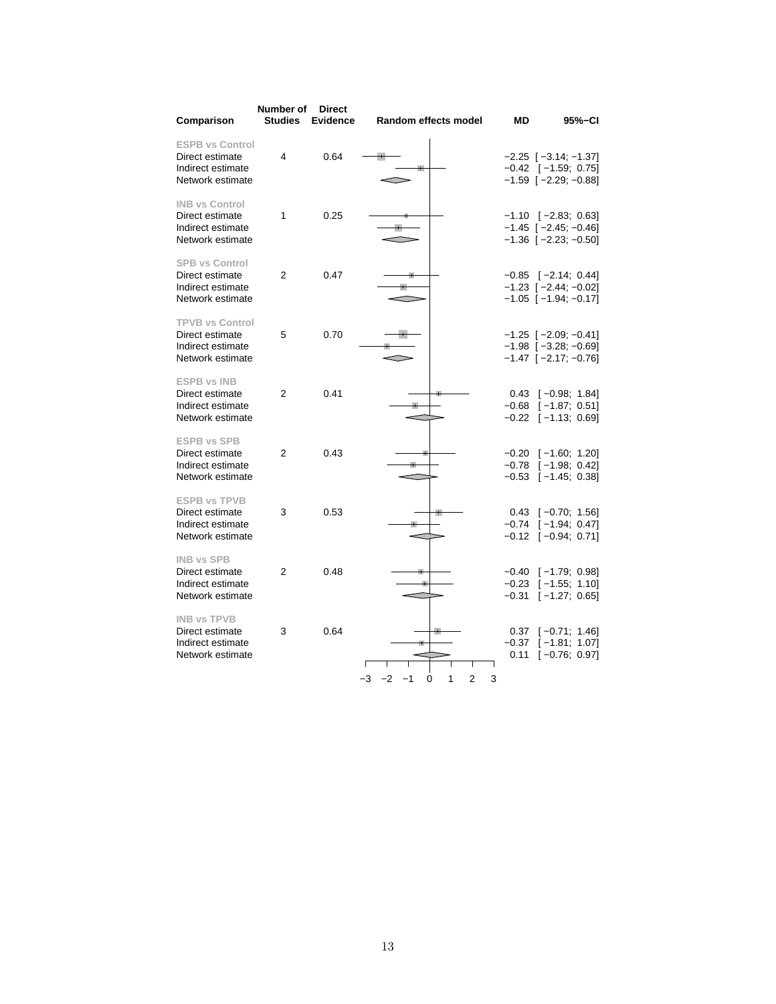| Comparison                                                                         | Number of<br><b>Studies</b> | <b>Direct</b><br><b>Evidence</b> | Random effects model                     | ΜD                      | 95%-CI                                                                                      |
|------------------------------------------------------------------------------------|-----------------------------|----------------------------------|------------------------------------------|-------------------------|---------------------------------------------------------------------------------------------|
| <b>ESPB vs Control</b><br>Direct estimate<br>Indirect estimate<br>Network estimate | 4                           | 0.64                             |                                          |                         | $-2.25$ [ $-3.14$ ; $-1.37$ ]<br>$-0.42$ [ $-1.59$ ; 0.75]<br>$-1.59$ $[-2.29; -0.88]$      |
| <b>INB vs Control</b><br>Direct estimate<br>Indirect estimate<br>Network estimate  | 1                           | 0.25                             |                                          |                         | $-1.10$ [ $-2.83$ ; 0.63]<br>$-1.45$ [ $-2.45$ ; $-0.46$ ]<br>$-1.36$ [ $-2.23$ ; $-0.50$ ] |
| <b>SPB vs Control</b><br>Direct estimate<br>Indirect estimate<br>Network estimate  | 2                           | 0.47                             |                                          |                         | $-0.85$ [ $-2.14$ ; 0.44]<br>$-1.23$ [ $-2.44$ ; $-0.02$ ]<br>$-1.05$ $[-1.94; -0.17]$      |
| <b>TPVB vs Control</b><br>Direct estimate<br>Indirect estimate<br>Network estimate | 5                           | 0.70                             |                                          |                         | $-1.25$ [ $-2.09$ ; $-0.41$ ]<br>$-1.98$ [ $-3.28$ ; $-0.69$ ]<br>$-1.47$ $[-2.17; -0.76]$  |
| <b>ESPB vs INB</b><br>Direct estimate<br>Indirect estimate<br>Network estimate     | $\overline{2}$              | 0.41                             |                                          |                         | $0.43$ $[-0.98; 1.84]$<br>$-0.68$ [ $-1.87; 0.51$ ]<br>$-0.22$ [ $-1.13$ ; 0.69]            |
| <b>ESPB vs SPB</b><br>Direct estimate<br>Indirect estimate<br>Network estimate     | $\overline{2}$              | 0.43                             |                                          |                         | $-0.20$ [ $-1.60; 1.20$ ]<br>$-0.78$ [ $-1.98$ ; 0.42]<br>$-0.53$ [ $-1.45$ ; 0.38]         |
| <b>ESPB vs TPVB</b><br>Direct estimate<br>Indirect estimate<br>Network estimate    | 3                           | 0.53                             |                                          |                         | $0.43$ [-0.70; 1.56]<br>$-0.74$ [ $-1.94$ ; 0.47]<br>$-0.12$ [ $-0.94$ ; 0.71]              |
| <b>INB vs SPB</b><br>Direct estimate<br>Indirect estimate<br>Network estimate      | 2                           | 0.48                             |                                          | $-0.23$<br>$-0.31$      | $-0.40$ [ $-1.79$ ; 0.98]<br>$[-1.55; 1.10]$<br>$[-1.27; 0.65]$                             |
| <b>INB vs TPVB</b><br>Direct estimate<br>Indirect estimate<br>Network estimate     | 3                           | 0.64                             | $-3$<br>$-2$<br>1<br>2<br>3<br>$-1$<br>0 | 0.37<br>$-0.37$<br>0.11 | $[-0.71; 1.46]$<br>$[-1.81; 1.07]$<br>$[-0.76; 0.97]$                                       |